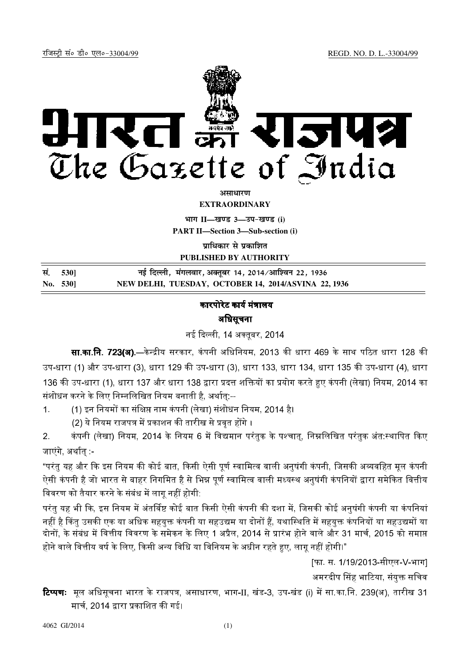

*<u>ature</u>* 

**EXTRAORDINARY**

 $\lim_{h \to 0} \frac{1}{h} = \frac{1}{h}$  and  $\lim_{h \to 0} \frac{1}{h} = \frac{1}{h}$ 

**PART II—Section 3—Sub-section (i)**

**प्राधिकार से प्रकाशित** 

**PUBLISHED BY AUTHORITY**

| सं. 530] | नई दिल्ली, मंगलवार, अक्तूबर 14, 2014/आश्विन 22, 1936 |
|----------|------------------------------------------------------|
| No. 530] | NEW DELHI, TUESDAY, OCTOBER 14, 2014/ASVINA 22, 1936 |

## कारपोरेट कार्य मंत्रालय अधिसूचना

नई दिल्ली 14 अक्तबर 2014

**सा.का.नि. 723(अ).—**केन्द्रीय सरकार, कंपनी अधिनियम, 2013 की धारा 469 के साथ पठित धारा 128 की उप-धारा (1) और उप-धारा (3), धारा 129 की उप-धारा (3), धारा 133, धारा 134, धारा 135 की उप-धारा (4), धारा 136 की उप-धारा (1), धारा 137 और धारा 138 द्वारा प्रदत्त शक्तियों का प्रयोग करते हुए कंपनी (लेखा) नियम, 2014 का संशोधन करने के लिए निम्नलिखित नियम बनाती है, अर्थात्:--

1. (1) इन नियमों का संक्षिप्त नाम कंपनी (लेखा) संशोधन नियम, 2014 है।

(2) ये नियम राजपत्र में प्रकाशन की तारीख से प्रवत होंगे ।

2. कंपनी (लेखा) नियम, 2014 के नियम 6 में विद्यमान परंतुक के पश्चात्, निम्नलिखित परंतुक अंत स्थापित किए जाएंगे, अर्थातु -

"परंत यह और कि इस नियम की कोई बात, किसी ऐसी पर्ण स्वामित्व वाली अनषंगी कंपनी, जिसकी अव्यवहित मल कंपनी .<br>ऐसी कंपनी है जो भारत से बाहर निगमित है से भिन्न पूर्ण स्वामित्व वाली मध्यस्थ अनुषंगी कंपनियों द्वारा समेकित वित्तीय विवरण को तैयार करने के संबंध में लाग नहीं होगी.

परंत यह भी कि. इस नियम में अंतर्विष्ट कोई बात किसी ऐसी कंपनी की दशा में. जिसकी कोई अनषंगी कंपनी या कंपनियां नहीं है किंतु उसकी एक या अधिक सहयुक्त कंपनी या सहउद्यम या दोनों हैं, यथास्थिति में सहयुक्त कंपनियों या सहउद्यमों या दोनों, के संबंध में वित्तीय विवरण के समेकन के लिए 1 अप्रैल, 2014 से प्रारंभ होने वाले और 31 मार्च, 2015 को समाप्त होने वाले वित्तीय वर्ष के लिए, किसी अन्य विधि या विनियम के अधीन रहते हुए, लाग नहीं होगी।"

[फा. स. 1/19/2013-सीएल-V-भाग]

अमरदीप सिंह भाटिया. संयक्त सचिव

**टिप्पणः** मूल अधिसूचना भारत के राजपत्र, असाधारण, भाग-II, खंड-3, उप-खंड (i) में सा.का.नि. 239(अ), तारीख 31 मार्च, 2014 द्वारा प्रकाशित की गई।